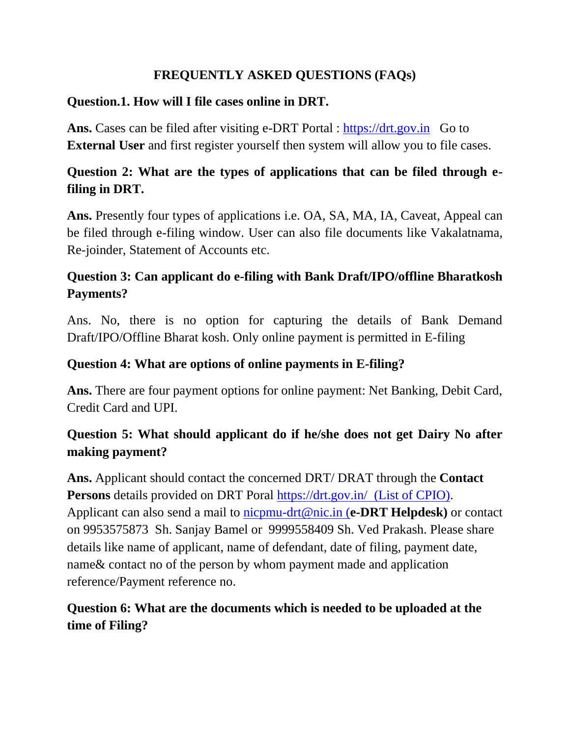#### **FREQUENTLY ASKED QUESTIONS (FAQs)**

#### **Question.1. How will I file cases online in DRT.**

Ans. Cases can be filed after visiting e-DRT Portal : [https://drt.gov.in](https://drt.gov.in/) Go to **External User** and first register yourself then system will allow you to file cases.

# **Question 2: What are the types of applications that can be filed through efiling in DRT.**

**Ans.** Presently four types of applications i.e. OA, SA, MA, IA, Caveat, Appeal can be filed through e-filing window. User can also file documents like Vakalatnama, Re-joinder, Statement of Accounts etc.

# **Question 3: Can applicant do e-filing with Bank Draft/IPO/offline Bharatkosh Payments?**

Ans. No, there is no option for capturing the details of Bank Demand Draft/IPO/Offline Bharat kosh. Only online payment is permitted in E-filing

#### **Question 4: What are options of online payments in E-filing?**

**Ans.** There are four payment options for online payment: Net Banking, Debit Card, Credit Card and UPI.

#### **Question 5: What should applicant do if he/she does not get Dairy No after making payment?**

**Ans.** Applicant should contact the concerned DRT/ DRAT through the **Contact Persons** details provided on DRT Poral<https://drt.gov.in/> (List of CPIO). Applicant can also send a mail to [nicpmu-drt@nic.in](mailto:nicpmu-drt@nic.in) (**e-DRT Helpdesk)** or contact on 9953575873 Sh. Sanjay Bamel or 9999558409 Sh. Ved Prakash. Please share details like name of applicant, name of defendant, date of filing, payment date, name& contact no of the person by whom payment made and application reference/Payment reference no.

#### **Question 6: What are the documents which is needed to be uploaded at the time of Filing?**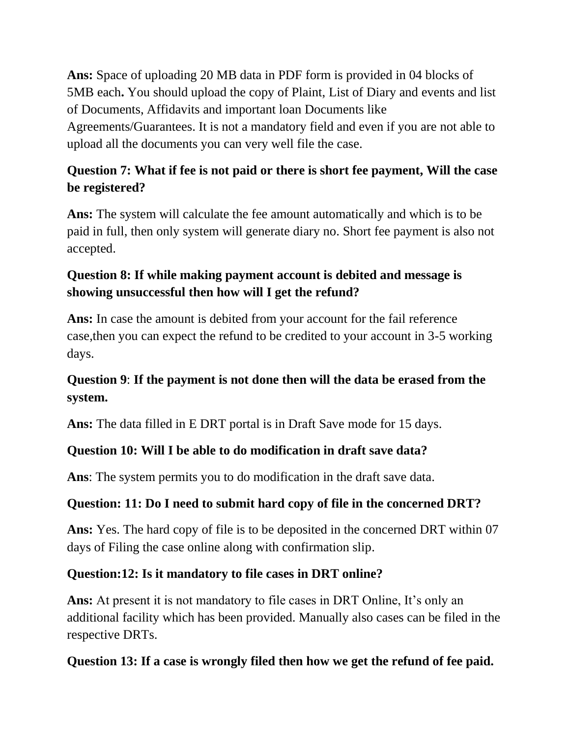**Ans:** Space of uploading 20 MB data in PDF form is provided in 04 blocks of 5MB each**.** You should upload the copy of Plaint, List of Diary and events and list of Documents, Affidavits and important loan Documents like Agreements/Guarantees. It is not a mandatory field and even if you are not able to upload all the documents you can very well file the case.

# **Question 7: What if fee is not paid or there is short fee payment, Will the case be registered?**

**Ans:** The system will calculate the fee amount automatically and which is to be paid in full, then only system will generate diary no. Short fee payment is also not accepted.

# **Question 8: If while making payment account is debited and message is showing unsuccessful then how will I get the refund?**

**Ans:** In case the amount is debited from your account for the fail reference case,then you can expect the refund to be credited to your account in 3-5 working days.

# **Question 9**: **If the payment is not done then will the data be erased from the system.**

**Ans:** The data filled in E DRT portal is in Draft Save mode for 15 days.

# **Question 10: Will I be able to do modification in draft save data?**

**Ans**: The system permits you to do modification in the draft save data.

# **Question: 11: Do I need to submit hard copy of file in the concerned DRT?**

**Ans:** Yes. The hard copy of file is to be deposited in the concerned DRT within 07 days of Filing the case online along with confirmation slip.

#### **Question:12: Is it mandatory to file cases in DRT online?**

**Ans:** At present it is not mandatory to file cases in DRT Online, It's only an additional facility which has been provided. Manually also cases can be filed in the respective DRTs.

#### **Question 13: If a case is wrongly filed then how we get the refund of fee paid.**